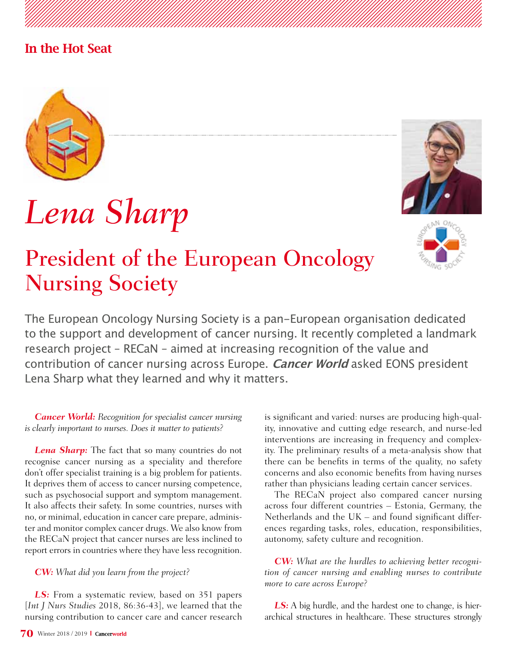### In the Hot Seat



# *Lena Sharp*

## President of the European Oncology Nursing Society





The European Oncology Nursing Society is a pan-European organisation dedicated to the support and development of cancer nursing. It recently completed a landmark research project – RECaN – aimed at increasing recognition of the value and contribution of cancer nursing across Europe. **Cancer World** asked EONS president Lena Sharp what they learned and why it matters.

#### *Cancer World: Recognition for specialist cancer nursing is clearly important to nurses. Does it matter to patients?*

*Lena Sharp:* The fact that so many countries do not recognise cancer nursing as a speciality and therefore don't offer specialist training is a big problem for patients. It deprives them of access to cancer nursing competence, such as psychosocial support and symptom management. It also affects their safety. In some countries, nurses with no, or minimal, education in cancer care prepare, administer and monitor complex cancer drugs. We also know from the RECaN project that cancer nurses are less inclined to report errors in countries where they have less recognition.

#### *CW: What did you learn from the project?*

*LS:* From a systematic review, based on 351 papers [*Int J Nurs Studies* 2018, 86:36-43], we learned that the nursing contribution to cancer care and cancer research is significant and varied: nurses are producing high-quality, innovative and cutting edge research, and nurse-led interventions are increasing in frequency and complexity. The preliminary results of a meta-analysis show that there can be benefits in terms of the quality, no safety concerns and also economic benefits from having nurses rather than physicians leading certain cancer services.

The RECaN project also compared cancer nursing across four different countries – Estonia, Germany, the Netherlands and the UK – and found significant differences regarding tasks, roles, education, responsibilities, autonomy, safety culture and recognition.

*CW: What are the hurdles to achieving better recognition of cancer nursing and enabling nurses to contribute more to care across Europe?*

*LS:* A big hurdle, and the hardest one to change, is hierarchical structures in healthcare. These structures strongly